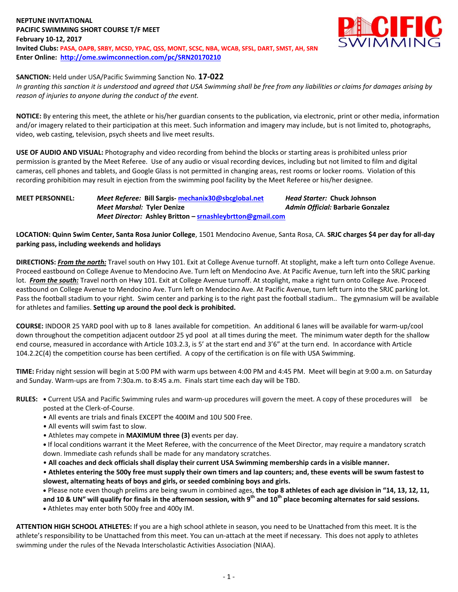### **NEPTUNE INVITATIONAL PACIFIC SWIMMING SHORT COURSE T/F MEET February 10-12, 2017 Invited Clubs: PASA, OAPB, SRBY, MCSD, YPAC, QSS, MONT, SCSC, NBA, WCAB, SFSL, DART, SMST, AH, SRN Enter Online: <http://ome.swimconnection.com/pc/SRN20170210>**



# **SANCTION:** Held under USA/Pacific Swimming Sanction No. **17-022**

*In granting this sanction it is understood and agreed that USA Swimming shall be free from any liabilities or claims for damages arising by reason of injuries to anyone during the conduct of the event.*

**NOTICE:** By entering this meet, the athlete or his/her guardian consents to the publication, via electronic, print or other media, information and/or imagery related to their participation at this meet. Such information and imagery may include, but is not limited to, photographs, video, web casting, television, psych sheets and live meet results.

**USE OF AUDIO AND VISUAL:** Photography and video recording from behind the blocks or starting areas is prohibited unless prior permission is granted by the Meet Referee. Use of any audio or visual recording devices, including but not limited to film and digital cameras, cell phones and tablets, and Google Glass is not permitted in changing areas, rest rooms or locker rooms. Violation of this recording prohibition may result in ejection from the swimming pool facility by the Meet Referee or his/her designee.

**MEET PERSONNEL:** *Meet Referee:* **Bill Sargis- [mechanix30@sbcglobal.net](mailto:mechanix30@sbcglobal.net)** *Head Starter:* **Chuck Johnson** *Meet Marshal:* **Tyler Denize** *Admin Official:* **Barbarie Gonzalez** *Meet Director:* **Ashley Britton – [srnashleybrtton@gmail.com](mailto:srnashleybrtton@gmail.com)**

**LOCATION: Quinn Swim Center, Santa Rosa Junior College**, 1501 Mendocino Avenue, Santa Rosa, CA. **SRJC charges \$4 per day for all-day parking pass, including weekends and holidays**

**DIRECTIONS:** *From the north:* Travel south on Hwy 101. Exit at College Avenue turnoff. At stoplight, make a left turn onto College Avenue. Proceed eastbound on College Avenue to Mendocino Ave. Turn left on Mendocino Ave. At Pacific Avenue, turn left into the SRJC parking lot. *From the south:* Travel north on Hwy 101. Exit at College Avenue turnoff. At stoplight, make a right turn onto College Ave. Proceed eastbound on College Avenue to Mendocino Ave. Turn left on Mendocino Ave. At Pacific Avenue, turn left turn into the SRJC parking lot. Pass the football stadium to your right. Swim center and parking is to the right past the football stadium.. The gymnasium will be available for athletes and families. **Setting up around the pool deck is prohibited.**

**COURSE:** INDOOR 25 YARD pool with up to 8 lanes available for competition. An additional 6 lanes will be available for warm-up/cool down throughout the competition adjacent outdoor 25 yd pool at all times during the meet. The minimum water depth for the shallow end course, measured in accordance with Article 103.2.3, is 5' at the start end and 3'6" at the turn end. In accordance with Article 104.2.2C(4) the competition course has been certified. A copy of the certification is on file with USA Swimming.

**TIME:** Friday night session will begin at 5:00 PM with warm ups between 4:00 PM and 4:45 PM. Meet will begin at 9:00 a.m. on Saturday and Sunday. Warm-ups are from 7:30a.m. to 8:45 a.m. Finals start time each day will be TBD.

- **RULES: •** Current USA and Pacific Swimming rules and warm-up procedures will govern the meet. A copy of these procedures will be posted at the Clerk-of-Course.
	- All events are trials and finals EXCEPT the 400IM and 10U 500 Free.
	- All events will swim fast to slow.
	- Athletes may compete in **MAXIMUM three (3)** events per day.

**•** If local conditions warrant it the Meet Referee, with the concurrence of the Meet Director, may require a mandatory scratch down. Immediate cash refunds shall be made for any mandatory scratches.

• **All coaches and deck officials shall display their current USA Swimming membership cards in a visible manner.** 

• **Athletes entering the 500y free must supply their own timers and lap counters; and, these events will be swum fastest to slowest, alternating heats of boys and girls, or seeded combining boys and girls.** 

 Please note even though prelims are being swum in combined ages, **the top 8 athletes of each age division in "14, 13, 12, 11, and 10 & UN" will qualify for finals in the afternoon session, with 9th and 10th place becoming alternates for said sessions.** Athletes may enter both 500y free and 400y IM.

**ATTENTION HIGH SCHOOL ATHLETES:** If you are a high school athlete in season, you need to be Unattached from this meet. It is the athlete's responsibility to be Unattached from this meet. You can un-attach at the meet if necessary. This does not apply to athletes swimming under the rules of the Nevada Interscholastic Activities Association (NIAA).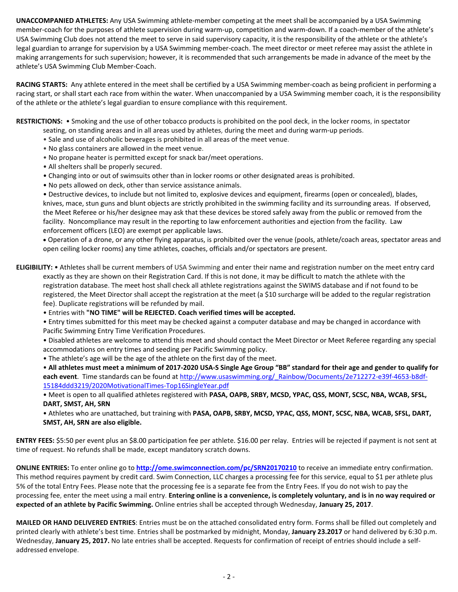**UNACCOMPANIED ATHLETES:** Any USA Swimming athlete-member competing at the meet shall be accompanied by a USA Swimming member-coach for the purposes of athlete supervision during warm-up, competition and warm-down. If a coach-member of the athlete's USA Swimming Club does not attend the meet to serve in said supervisory capacity, it is the responsibility of the athlete or the athlete's legal guardian to arrange for supervision by a USA Swimming member-coach. The meet director or meet referee may assist the athlete in making arrangements for such supervision; however, it is recommended that such arrangements be made in advance of the meet by the athlete's USA Swimming Club Member-Coach.

**RACING STARTS:** Any athlete entered in the meet shall be certified by a USA Swimming member-coach as being proficient in performing a racing start, or shall start each race from within the water. When unaccompanied by a USA Swimming member coach, it is the responsibility of the athlete or the athlete's legal guardian to ensure compliance with this requirement.

**RESTRICTIONS:** • Smoking and the use of other tobacco products is prohibited on the pool deck, in the locker rooms, in spectator

- seating, on standing areas and in all areas used by athletes, during the meet and during warm-up periods.
- Sale and use of alcoholic beverages is prohibited in all areas of the meet venue.
- No glass containers are allowed in the meet venue.
- No propane heater is permitted except for snack bar/meet operations.
- All shelters shall be properly secured.
- Changing into or out of swimsuits other than in locker rooms or other designated areas is prohibited.
- No pets allowed on deck, other than service assistance animals.

• Destructive devices, to include but not limited to, explosive devices and equipment, firearms (open or concealed), blades, knives, mace, stun guns and blunt objects are strictly prohibited in the swimming facility and its surrounding areas. If observed, the Meet Referee or his/her designee may ask that these devices be stored safely away from the public or removed from the facility. Noncompliance may result in the reporting to law enforcement authorities and ejection from the facility. Law enforcement officers (LEO) are exempt per applicable laws.

 Operation of a drone, or any other flying apparatus, is prohibited over the venue (pools, athlete/coach areas, spectator areas and open ceiling locker rooms) any time athletes, coaches, officials and/or spectators are present.

**ELIGIBILITY:** • Athletes shall be current members of USA Swimming and enter their name and registration number on the meet entry card exactly as they are shown on their Registration Card. If this is not done, it may be difficult to match the athlete with the registration database. The meet host shall check all athlete registrations against the SWIMS database and if not found to be registered, the Meet Director shall accept the registration at the meet (a \$10 surcharge will be added to the regular registration fee). Duplicate registrations will be refunded by mail.

• Entries with **"NO TIME" will be REJECTED. Coach verified times will be accepted.**

• Entry times submitted for this meet may be checked against a computer database and may be changed in accordance with Pacific Swimming Entry Time Verification Procedures.

• Disabled athletes are welcome to attend this meet and should contact the Meet Director or Meet Referee regarding any special accommodations on entry times and seeding per Pacific Swimming policy.

• The athlete's age will be the age of the athlete on the first day of the meet.

• **All athletes must meet a minimum of 2017-2020 USA-S Single Age Group "BB" standard for their age and gender to qualify for each event**. Time standards can be found at [http://www.usaswimming.org/\\_Rainbow/Documents/2e712272-e39f-4653-b8df-](http://www.usaswimming.org/_Rainbow/Documents/2e712272-e39f-4653-b8df-15184ddd3219/2020MotivationalTimes-Top16SingleYear.pdf)[15184ddd3219/2020MotivationalTimes-Top16SingleYear.pdf](http://www.usaswimming.org/_Rainbow/Documents/2e712272-e39f-4653-b8df-15184ddd3219/2020MotivationalTimes-Top16SingleYear.pdf)

• Meet is open to all qualified athletes registered with **PASA, OAPB, SRBY, MCSD, YPAC, QSS, MONT, SCSC, NBA, WCAB, SFSL, DART, SMST, AH, SRN**

• Athletes who are unattached, but training with **PASA, OAPB, SRBY, MCSD, YPAC, QSS, MONT, SCSC, NBA, WCAB, SFSL, DART, SMST, AH, SRN are also eligible.**

**ENTRY FEES:** \$5:50 per event plus an \$8.00 participation fee per athlete. \$16.00 per relay. Entries will be rejected if payment is not sent at time of request. No refunds shall be made, except mandatory scratch downs.

**ONLINE ENTRIES:** To enter online go to **<http://ome.swimconnection.com/pc/SRN20170210>** to receive an immediate entry confirmation. This method requires payment by credit card. Swim Connection, LLC charges a processing fee for this service, equal to \$1 per athlete plus 5% of the total Entry Fees. Please note that the processing fee is a separate fee from the Entry Fees. If you do not wish to pay the processing fee, enter the meet using a mail entry. **Entering online is a convenience, is completely voluntary, and is in no way required or expected of an athlete by Pacific Swimming.** Online entries shall be accepted through Wednesday, **January 25, 2017**.

**MAILED OR HAND DELIVERED ENTRIES**: Entries must be on the attached consolidated entry form. Forms shall be filled out completely and printed clearly with athlete's best time. Entries shall be postmarked by midnight, Monday, **January 23.2017** or hand delivered by 6:30 p.m. Wednesday, **January 25, 2017.** No late entries shall be accepted. Requests for confirmation of receipt of entries should include a selfaddressed envelope.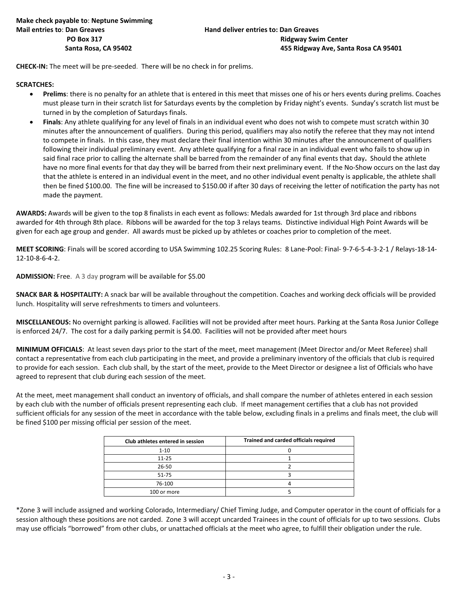**CHECK-IN:** The meet will be pre-seeded. There will be no check in for prelims.

#### **SCRATCHES:**

- **Prelims**: there is no penalty for an athlete that is entered in this meet that misses one of his or hers events during prelims. Coaches must please turn in their scratch list for Saturdays events by the completion by Friday night's events. Sunday's scratch list must be turned in by the completion of Saturdays finals.
- **Finals**: Any athlete qualifying for any level of finals in an individual event who does not wish to compete must scratch within 30 minutes after the announcement of qualifiers. During this period, qualifiers may also notify the referee that they may not intend to compete in finals. In this case, they must declare their final intention within 30 minutes after the announcement of qualifiers following their individual preliminary event. Any athlete qualifying for a final race in an individual event who fails to show up in said final race prior to calling the alternate shall be barred from the remainder of any final events that day**.** Should the athlete have no more final events for that day they will be barred from their next preliminary event. If the No-Show occurs on the last day that the athlete is entered in an individual event in the meet, and no other individual event penalty is applicable, the athlete shall then be fined \$100.00. The fine will be increased to \$150.00 if after 30 days of receiving the letter of notification the party has not made the payment.

**AWARDS:** Awards will be given to the top 8 finalists in each event as follows: Medals awarded for 1st through 3rd place and ribbons awarded for 4th through 8th place. Ribbons will be awarded for the top 3 relays teams. Distinctive individual High Point Awards will be given for each age group and gender. All awards must be picked up by athletes or coaches prior to completion of the meet.

**MEET SCORING**: Finals will be scored according to USA Swimming 102.25 Scoring Rules: 8 Lane-Pool: Final- 9-7-6-5-4-3-2-1 / Relays-18-14- 12-10-8-6-4-2.

**ADMISSION:** Free. A 3 day program will be available for \$5.00

**SNACK BAR & HOSPITALITY:** A snack bar will be available throughout the competition. Coaches and working deck officials will be provided lunch. Hospitality will serve refreshments to timers and volunteers.

**MISCELLANEOUS:** No overnight parking is allowed. Facilities will not be provided after meet hours. Parking at the Santa Rosa Junior College is enforced 24/7. The cost for a daily parking permit is \$4.00. Facilities will not be provided after meet hours

**MINIMUM OFFICIALS**: At least seven days prior to the start of the meet, meet management (Meet Director and/or Meet Referee) shall contact a representative from each club participating in the meet, and provide a preliminary inventory of the officials that club is required to provide for each session. Each club shall, by the start of the meet, provide to the Meet Director or designee a list of Officials who have agreed to represent that club during each session of the meet.

At the meet, meet management shall conduct an inventory of officials, and shall compare the number of athletes entered in each session by each club with the number of officials present representing each club. If meet management certifies that a club has not provided sufficient officials for any session of the meet in accordance with the table below, excluding finals in a prelims and finals meet, the club will be fined \$100 per missing official per session of the meet.

| Club athletes entered in session | Trained and carded officials required |
|----------------------------------|---------------------------------------|
| $1 - 10$                         |                                       |
| $11 - 25$                        |                                       |
| 26-50                            |                                       |
| $51 - 75$                        |                                       |
| 76-100                           |                                       |
| 100 or more                      |                                       |

\*Zone 3 will include assigned and working Colorado, Intermediary/ Chief Timing Judge, and Computer operator in the count of officials for a session although these positions are not carded. Zone 3 will accept uncarded Trainees in the count of officials for up to two sessions. Clubs may use officials "borrowed" from other clubs, or unattached officials at the meet who agree, to fulfill their obligation under the rule.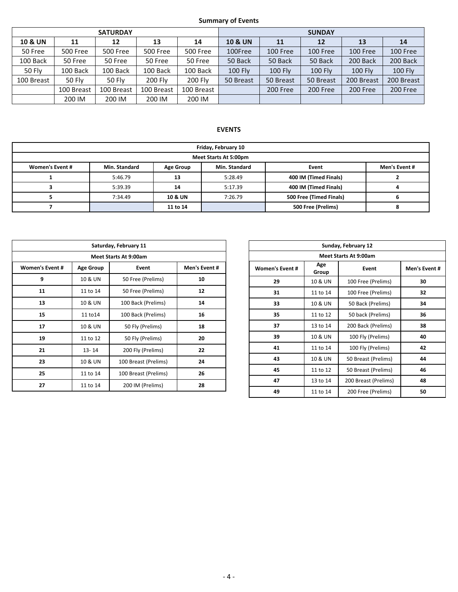## **Summary of Events**

| <b>SATURDAY</b>    |                 |                 |                 |                 | <b>SUNDAY</b>      |                |                |                |                |  |
|--------------------|-----------------|-----------------|-----------------|-----------------|--------------------|----------------|----------------|----------------|----------------|--|
| <b>10 &amp; UN</b> | 11              | 12              | 13              | 14              | <b>10 &amp; UN</b> | 11             | 12             | 13             | 14             |  |
| 50 Free            | <b>500 Free</b> | <b>500 Free</b> | <b>500 Free</b> | <b>500 Free</b> | 100Free            | 100 Free       | 100 Free       | 100 Free       | 100 Free       |  |
| 100 Back           | 50 Free         | 50 Free         | 50 Free         | 50 Free         | 50 Back            | 50 Back        | 50 Back        | 200 Back       | 200 Back       |  |
| 50 Fly             | 100 Back        | 100 Back        | 100 Back        | 100 Back        | <b>100 Fly</b>     | <b>100 Fly</b> | <b>100 Fly</b> | <b>100 Fly</b> | <b>100 Fly</b> |  |
| 100 Breast         | 50 Fly          | 50 Fly          | <b>200 Flv</b>  | 200 Fly         | 50 Breast          | 50 Breast      | 50 Breast      | 200 Breast     | 200 Breast     |  |
|                    | 100 Breast      | 100 Breast      | 100 Breast      | 100 Breast      |                    | 200 Free       | 200 Free       | 200 Free       | 200 Free       |  |
|                    | 200 IM          | 200 IM          | 200 IM          | 200 IM          |                    |                |                |                |                |  |

# **EVENTS**

| Friday, February 10                                                                             |         |                    |         |                         |  |  |  |  |  |
|-------------------------------------------------------------------------------------------------|---------|--------------------|---------|-------------------------|--|--|--|--|--|
| Meet Starts At 5:00pm                                                                           |         |                    |         |                         |  |  |  |  |  |
| Women's Event #<br>Men's Event #<br>Min. Standard<br>Min. Standard<br>Event<br><b>Age Group</b> |         |                    |         |                         |  |  |  |  |  |
|                                                                                                 | 5:46.79 | 13                 | 5:28.49 | 400 IM (Timed Finals)   |  |  |  |  |  |
|                                                                                                 | 5:39.39 | 14                 | 5:17.39 | 400 IM (Timed Finals)   |  |  |  |  |  |
|                                                                                                 | 7:34.49 | <b>10 &amp; UN</b> | 7:26.79 | 500 Free (Timed Finals) |  |  |  |  |  |
|                                                                                                 |         | 11 to 14           |         | 500 Free (Prelims)      |  |  |  |  |  |

| Saturday, February 11        |                           |                      |    |  |  |  |  |  |  |
|------------------------------|---------------------------|----------------------|----|--|--|--|--|--|--|
| <b>Meet Starts At 9:00am</b> |                           |                      |    |  |  |  |  |  |  |
| <b>Women's Event #</b>       | Event<br><b>Age Group</b> |                      |    |  |  |  |  |  |  |
| 9                            | 10 & UN                   | 50 Free (Prelims)    | 10 |  |  |  |  |  |  |
| 11                           | 11 to 14                  | 50 Free (Prelims)    | 12 |  |  |  |  |  |  |
| 13                           | 10 & UN                   | 100 Back (Prelims)   | 14 |  |  |  |  |  |  |
| 15                           | 11 to 14                  | 100 Back (Prelims)   | 16 |  |  |  |  |  |  |
| 17                           | 10 & UN                   | 50 Fly (Prelims)     | 18 |  |  |  |  |  |  |
| 19                           | 11 to 12                  | 50 Fly (Prelims)     | 20 |  |  |  |  |  |  |
| 21                           | 200 Fly (Prelims)         | 22                   |    |  |  |  |  |  |  |
| 23                           | 10 & UN                   | 100 Breast (Prelims) | 24 |  |  |  |  |  |  |
| 25                           | 11 to 14                  | 100 Breast (Prelims) | 26 |  |  |  |  |  |  |
| 27                           | 11 to 14                  | 200 IM (Prelims)     | 28 |  |  |  |  |  |  |

| Sunday, February 12          |                       |                      |    |  |  |  |  |  |  |
|------------------------------|-----------------------|----------------------|----|--|--|--|--|--|--|
| <b>Meet Starts At 9:00am</b> |                       |                      |    |  |  |  |  |  |  |
| <b>Women's Event #</b>       | Age<br>Event<br>Group |                      |    |  |  |  |  |  |  |
| 29                           | 10 & UN               | 100 Free (Prelims)   | 30 |  |  |  |  |  |  |
| 31                           | 11 to 14              | 100 Free (Prelims)   | 32 |  |  |  |  |  |  |
| 33                           | 10 & UN               | 50 Back (Prelims)    | 34 |  |  |  |  |  |  |
| 35<br>11 to 12               |                       | 50 back (Prelims)    | 36 |  |  |  |  |  |  |
| 37                           | 13 to 14              | 200 Back (Prelims)   | 38 |  |  |  |  |  |  |
| 39                           | 10 & UN               | 100 Fly (Prelims)    | 40 |  |  |  |  |  |  |
| 41<br>11 to 14               |                       | 100 Fly (Prelims)    | 42 |  |  |  |  |  |  |
| 43                           | 10 & UN               | 50 Breast (Prelims)  | 44 |  |  |  |  |  |  |
| 45                           | 11 to 12              | 50 Breast (Prelims)  | 46 |  |  |  |  |  |  |
| 47                           | 13 to 14              | 200 Breast (Prelims) | 48 |  |  |  |  |  |  |
| 49                           | 11 to 14              | 200 Free (Prelims)   | 50 |  |  |  |  |  |  |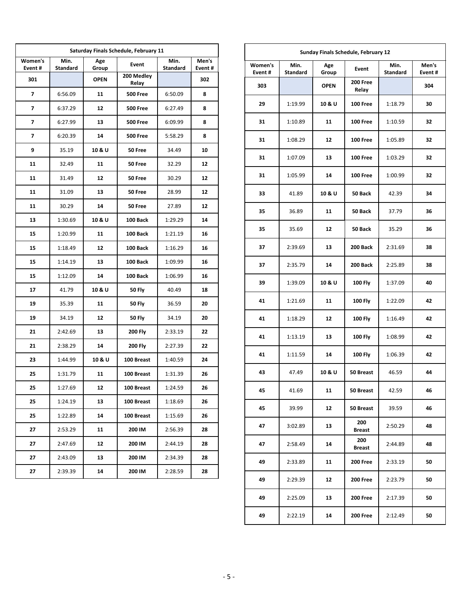| Saturday Finals Schedule, February 11 |                         |              |                     |                         |                 |  |  |  |  |
|---------------------------------------|-------------------------|--------------|---------------------|-------------------------|-----------------|--|--|--|--|
| Women's<br>Event#                     | Min.<br><b>Standard</b> | Age<br>Group | Event               | Min.<br><b>Standard</b> | Men's<br>Event# |  |  |  |  |
| 301                                   |                         | <b>OPEN</b>  | 200 Medley<br>Relay |                         | 302             |  |  |  |  |
| 7                                     | 6:56.09                 | 11           | <b>500 Free</b>     | 6:50.09                 | 8               |  |  |  |  |
| 7                                     | 6:37.29                 | 12           | <b>500 Free</b>     | 6:27.49                 | 8               |  |  |  |  |
| 7                                     | 6:27.99                 | 13           | <b>500 Free</b>     | 6:09.99                 | 8               |  |  |  |  |
| 7                                     | 6:20.39                 | 14           | <b>500 Free</b>     | 5:58.29                 | 8               |  |  |  |  |
| 9                                     | 35.19                   | 10 & U       | 50 Free             | 34.49                   | 10              |  |  |  |  |
| 11                                    | 32.49                   | 11           | 50 Free             | 32.29                   | 12              |  |  |  |  |
| 11                                    | 31.49                   | 12           | 50 Free             | 30.29                   | 12              |  |  |  |  |
| 11                                    | 31.09                   | 13           | 50 Free             | 28.99                   | 12              |  |  |  |  |
| 11                                    | 30.29                   | 14           | 50 Free             | 27.89                   | 12              |  |  |  |  |
| 13                                    | 1:30.69                 | 10 & U       | 100 Back            | 1:29.29                 | 14              |  |  |  |  |
| 15                                    | 1:20.99                 | 11           | 100 Back            | 1:21.19                 | 16              |  |  |  |  |
| 15                                    | 1:18.49                 | 12           | 100 Back            | 1:16.29                 | 16              |  |  |  |  |
| 15                                    | 1:14.19                 | 13           | 100 Back            | 1:09.99                 | 16              |  |  |  |  |
| 15                                    | 1:12.09                 | 14           | 100 Back            | 1:06.99                 | 16              |  |  |  |  |
| 17                                    | 41.79                   | 10 & U       | 50 Fly              | 40.49                   | 18              |  |  |  |  |
| 19                                    | 35.39                   | 11           | <b>50 Fly</b>       | 36.59                   | 20              |  |  |  |  |
| 19                                    | 34.19                   | 12           | 50 Fly              | 34.19                   | 20              |  |  |  |  |
| 21                                    | 2:42.69                 | 13           | <b>200 Fly</b>      | 2:33.19                 | 22              |  |  |  |  |
| 21                                    | 2:38.29                 | 14           | 200 Fly             | 2:27.39                 | 22              |  |  |  |  |
| 23                                    | 1:44.99                 | 10 & U       | 100 Breast          | 1:40.59                 | 24              |  |  |  |  |
| 25                                    | 1:31.79                 | 11           | 100 Breast          | 1:31.39                 | 26              |  |  |  |  |
| 25                                    | 1:27.69                 | 12           | 100 Breast          | 1:24.59                 | 26              |  |  |  |  |
| 25                                    | 1:24.19                 | 13           | 100 Breast          | 1:18.69                 | 26              |  |  |  |  |
| 25                                    | 1:22.89                 | 14           | 100 Breast          | 1:15.69                 | 26              |  |  |  |  |
| 27                                    | 2:53.29                 | 11           | 200 IM              | 2:56.39                 | 28              |  |  |  |  |
| 27                                    | 2:47.69                 | 12           | 200 IM              | 2:44.19                 | 28              |  |  |  |  |
| 27                                    | 2:43.09                 | 13           | 200 IM              | 2:34.39                 | 28              |  |  |  |  |
| 27                                    | 2:39.39                 | 14           | 200 IM              | 2:28.59                 | 28              |  |  |  |  |

| Sunday Finals Schedule, February 12 |                         |              |                          |                 |     |  |  |  |  |
|-------------------------------------|-------------------------|--------------|--------------------------|-----------------|-----|--|--|--|--|
| Women's<br>Event#                   | Min.<br><b>Standard</b> | Age<br>Group | Min.<br><b>Standard</b>  | Men's<br>Event# |     |  |  |  |  |
| 303                                 |                         | <b>OPEN</b>  | <b>200 Free</b><br>Relay |                 | 304 |  |  |  |  |
| 29                                  | 1:19.99                 | 10 & U       | 100 Free                 | 1:18.79         | 30  |  |  |  |  |
| 31                                  | 1:10.89                 | 11           | <b>100 Free</b>          | 1:10.59         | 32  |  |  |  |  |
| 31                                  | 1:08.29                 | 12           | <b>100 Free</b>          | 1:05.89         | 32  |  |  |  |  |
| 31                                  | 1:07.09                 | 13           | <b>100 Free</b>          | 1:03.29         | 32  |  |  |  |  |
| 31                                  | 1:05.99                 | 14           | <b>100 Free</b>          | 1:00.99         | 32  |  |  |  |  |
| 33                                  | 41.89                   | 10 & U       | 50 Back                  | 42.39           | 34  |  |  |  |  |
| 35                                  | 36.89                   | 11           | 50 Back                  | 37.79           | 36  |  |  |  |  |
| 35                                  | 35.69                   | 12           | 50 Back                  | 35.29           | 36  |  |  |  |  |
| 37                                  | 2:39.69                 | 13           | 200 Back                 | 2:31.69         | 38  |  |  |  |  |
| 37                                  | 2:35.79                 | 14           | 200 Back                 | 2:25.89         | 38  |  |  |  |  |
| 39                                  | 1:39.09                 | 10 & U       | <b>100 Fly</b>           | 1:37.09         | 40  |  |  |  |  |
| 41                                  | 1:21.69                 | 11           | <b>100 Fly</b>           | 1:22.09         | 42  |  |  |  |  |
| 41                                  | 1:18.29                 | 12           | <b>100 Fly</b>           | 1:16.49         | 42  |  |  |  |  |
| 41                                  | 1:13.19                 | 13           | <b>100 Fly</b>           | 1:08.99         | 42  |  |  |  |  |
| 41                                  | 1:11.59                 | 14           | <b>100 Fly</b>           | 1:06.39         | 42  |  |  |  |  |
| 43                                  | 47.49                   | 10 & U       | 50 Breast                | 46.59           | 44  |  |  |  |  |
| 45                                  | 41.69                   | 11           | 50 Breast                | 42.59           | 46  |  |  |  |  |
| 45                                  | 39.99                   | 12           | 50 Breast                | 39.59           | 46  |  |  |  |  |
| 47                                  | 3:02.89                 | 13           | 200<br>Breast            | 2:50.29         | 48  |  |  |  |  |
| 47                                  | 2:58.49                 | 14           | 200<br>Breast            | 2:44.89         | 48  |  |  |  |  |
| 49                                  | 2:33.89                 | 11           | 200 Free                 | 2:33.19         | 50  |  |  |  |  |
| 49                                  | 2:29.39                 | 12           | <b>200 Free</b>          | 2:23.79         | 50  |  |  |  |  |
| 49                                  | 2:25.09                 | 13           | <b>200 Free</b>          | 2:17.39         | 50  |  |  |  |  |
| 49                                  | 2:22.19                 | 14           | <b>200 Free</b>          | 2:12.49         | 50  |  |  |  |  |